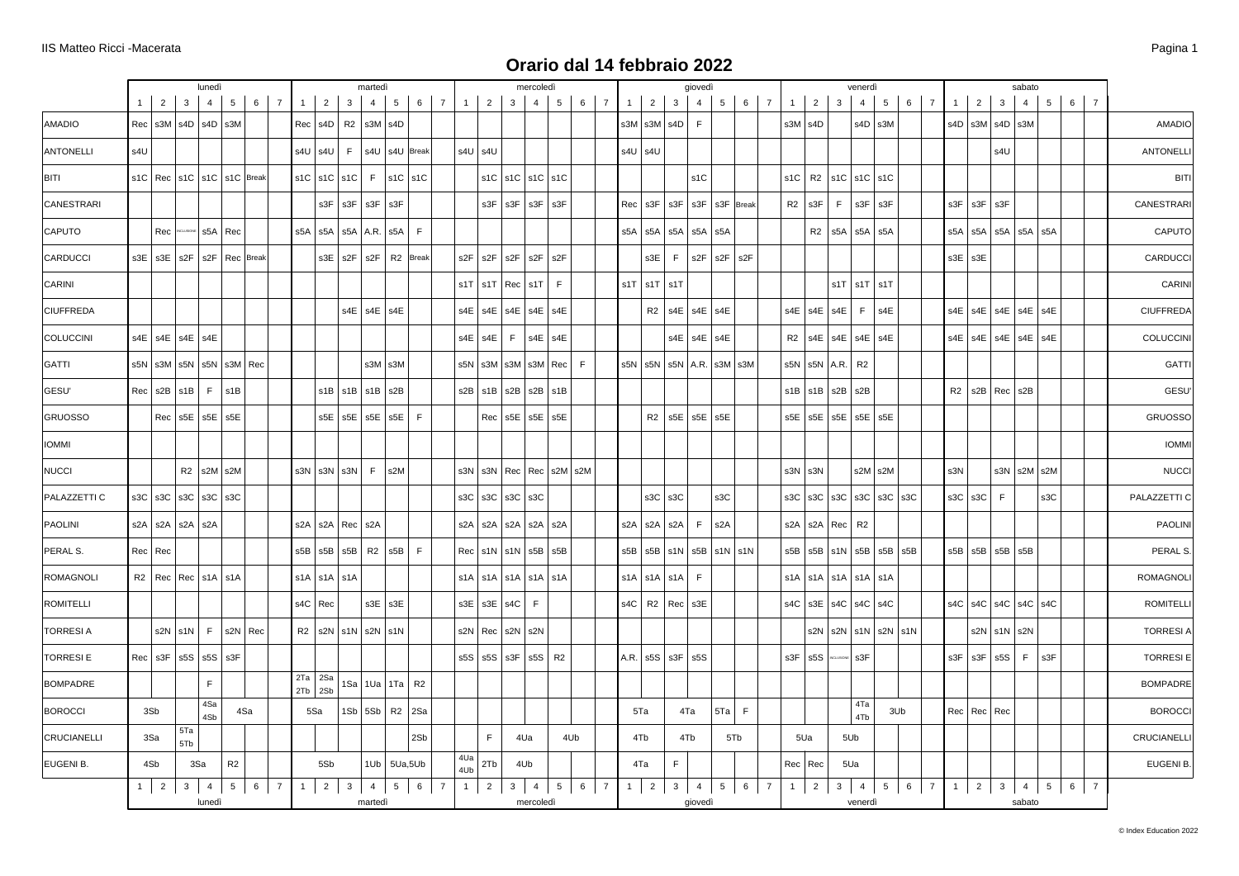|                  |     |                 |                                           | lunedì               |                                           |     |                        |                            |                                                                    | martedi           |                                   |                             |            |                           |   | mercoledì                                                     |                |                        |     |                                                                                            |                   | giovedì |          |            |             |           |                                                 | venerdì                                                                 |       |                 |                                                 |                   | sabato            |     |     |                  |
|------------------|-----|-----------------|-------------------------------------------|----------------------|-------------------------------------------|-----|------------------------|----------------------------|--------------------------------------------------------------------|-------------------|-----------------------------------|-----------------------------|------------|---------------------------|---|---------------------------------------------------------------|----------------|------------------------|-----|--------------------------------------------------------------------------------------------|-------------------|---------|----------|------------|-------------|-----------|-------------------------------------------------|-------------------------------------------------------------------------|-------|-----------------|-------------------------------------------------|-------------------|-------------------|-----|-----|------------------|
|                  |     |                 | $1 \mid 2 \mid 3 \mid 4$                  |                      |                                           |     | $5 \mid 6 \mid 7$      |                            | $1 \mid 2 \mid 3 \mid$                                             | $-4$              | 5 <sup>1</sup>                    | 6 7                         |            |                           |   | $1 \mid 2 \mid 3 \mid 4 \mid$                                 |                | $5 \mid 6 \mid 7 \mid$ |     | $1 \mid 2 \mid 3 \mid$                                                                     |                   | 4       | $5 \mid$ | $6 \mid 7$ | $1 \vert$   | $2 \mid$  | 3 <sup>1</sup>                                  | $4 \vert$                                                               | $5-1$ | $6 \mid 7 \mid$ | $1 \mid 2 \mid 3 \mid 4 \mid 5 \mid 6 \mid 7$   |                   |                   |     |     |                  |
| <b>AMADIO</b>    |     |                 |                                           |                      | $Rec \mid s3M \mid s4D \mid s4D \mid s3M$ |     |                        |                            | $Rec$ s4D R2 s3M s4D                                               |                   |                                   |                             |            |                           |   |                                                               |                |                        |     | $s3M$ $s3M$ $s4D$ $F$                                                                      |                   |         |          |            | $s3M$ $s4D$ |           |                                                 | $s4D$ s3M                                                               |       |                 | $ $ s4D $ $ s3M $ $ s4D $ $ s3M                 |                   |                   |     |     | <b>AMADIO</b>    |
| ANTONELLI        | s4U |                 |                                           |                      |                                           |     |                        |                            |                                                                    |                   | s4U   s4U   F   s4U   s4U   Break |                             |            | $s4U$ $s4U$               |   |                                                               |                |                        |     | $s4U$ $s4U$                                                                                |                   |         |          |            |             |           |                                                 |                                                                         |       |                 |                                                 | s4U               |                   |     |     | <b>ANTONELLI</b> |
| BITI             |     |                 |                                           |                      | s1C   Rec   s1C   s1C   s1C   Break       |     |                        |                            | $s1C$ $s1C$ $s1C$                                                  |                   | $F$ s1C s1C                       |                             |            |                           |   | $s1C$ $s1C$ $s1C$ $s1C$                                       |                |                        |     |                                                                                            |                   | s1C     |          |            | $s1C$ R2    |           |                                                 | $ $ s1C $ $ s1C $ $ s1C                                                 |       |                 |                                                 |                   |                   |     |     | <b>BITI</b>      |
| CANESTRARI       |     |                 |                                           |                      |                                           |     |                        |                            | $s3F$ $s3F$ $s3F$ $s3F$                                            |                   |                                   |                             |            |                           |   | $s3F$ $s3F$ $s3F$ $s3F$                                       |                |                        |     | Rec   s3F   s3F   s3F   s3F   Break                                                        |                   |         |          |            | $R2$ s3F    |           |                                                 | $F$ s3F s3F                                                             |       |                 | $s3F$ $s3F$ $s3F$                               |                   |                   |     |     | CANESTRARI       |
| <b>CAPUTO</b>    |     |                 |                                           |                      | Rec MCLUSCHE S5A Rec                      |     |                        |                            |                                                                    |                   | s5A   s5A   s5A   A.R.   s5A      | F                           |            |                           |   |                                                               |                |                        |     | s5A   s5A   s5A   s5A   s5A                                                                |                   |         |          |            |             |           |                                                 | R <sub>2</sub>   s <sup>5</sup> A   s <sup>5</sup> A   s <sup>5</sup> A |       |                 | $s5A$ $s5A$ $s5A$ $s5A$ $s5A$                   |                   |                   |     |     | CAPUTO           |
| CARDUCCI         |     |                 |                                           |                      | s3E   s3E   s2F   s2F   Rec   Break       |     |                        |                            |                                                                    |                   | $s3E$ $s2F$ $s2F$ R2 Break        |                             |            | $s2F$ $s2F$               |   | $s2F$ s2F                                                     | s2F            |                        |     | $s3E$ F $ s2F s2F s2F$                                                                     |                   |         |          |            |             |           |                                                 |                                                                         |       |                 | $s3E$ $s3E$                                     |                   |                   |     |     | CARDUCCI         |
| CARINI           |     |                 |                                           |                      |                                           |     |                        |                            |                                                                    |                   |                                   |                             |            |                           |   | $s1T$   $s1T$   Rec   $s1T$                                   | F              |                        |     | $s1T$ $s1T$ $s1T$                                                                          |                   |         |          |            |             |           |                                                 | $s1T$ $s1T$ $s1T$                                                       |       |                 |                                                 |                   |                   |     |     | CARINI           |
| <b>CIUFFREDA</b> |     |                 |                                           |                      |                                           |     |                        |                            |                                                                    | $s4E$ $s4E$ $s4E$ |                                   |                             |            |                           |   | $s4E$   $s4E$   $s4E$   $s4E$   $s4E$                         |                |                        |     | $R2$   s4E   s4E   s4E                                                                     |                   |         |          |            |             |           |                                                 | $s4E$ $s4E$ $s4E$ $F$ $s4E$                                             |       |                 | $s4E$   $s4E$   $s4E$   $s4E$   $s4E$           |                   |                   |     |     | <b>CIUFFREDA</b> |
| COLUCCINI        |     |                 | $s4E$ $s4E$ $s4E$ $s4E$                   |                      |                                           |     |                        |                            |                                                                    |                   |                                   |                             |            | $s4E$ $s4E$               | F |                                                               | $s4E$ s4E      |                        |     |                                                                                            | $s4E$ $s4E$ $s4E$ |         |          |            |             |           |                                                 | $R2$ s4E s4E s4E s4E                                                    |       |                 | $s4E$   $s4E$   $s4E$   $s4E$   $s4E$           |                   |                   |     |     | COLUCCINI        |
| GATTI            |     |                 |                                           |                      | s5N   s3M   s5N   s5N   s3M   Rec         |     |                        |                            |                                                                    |                   | $s3M$ $s3M$                       |                             |            |                           |   | $s5N$ $\vert$ s3M $\vert$ s3M $\vert$ s3M $\vert$ Rec $\vert$ |                | F                      |     | s5N   s5N   s5N   A.R.   s3M   s3M                                                         |                   |         |          |            |             |           | s5N $\vert$ s5N $\vert$ A.R. $\vert$ R2         |                                                                         |       |                 |                                                 |                   |                   |     |     | <b>GATTI</b>     |
| GESU'            |     |                 |                                           |                      | $Rec \mid s2B \mid s1B \mid F \mid s1B$   |     |                        |                            | $s1B$ $s1B$ $s1B$ $s2B$                                            |                   |                                   |                             |            |                           |   | $s2B$   $s1B$   $s2B$   $s2B$   $s1B$                         |                |                        |     |                                                                                            |                   |         |          |            |             |           | $s1B$ $\vert$ $s1B$ $\vert$ $s2B$ $\vert$ $s2B$ |                                                                         |       |                 | $R2$   s2B   Rec   s2B                          |                   |                   |     |     | GESU'            |
| GRUOSSO          |     |                 | $Rec$ s5E s5E s5E                         |                      |                                           |     |                        |                            |                                                                    |                   | $s5E$ $s5E$ $s5E$ $s5E$           | E                           |            |                           |   | $Rec$ s5E s5E s5E                                             |                |                        |     | $R2$ s5E s5E s5E                                                                           |                   |         |          |            |             |           |                                                 | s5E   s5E   s5E   s5E   s5E                                             |       |                 |                                                 |                   |                   |     |     | <b>GRUOSSO</b>   |
| <b>IOMMI</b>     |     |                 |                                           |                      |                                           |     |                        |                            |                                                                    |                   |                                   |                             |            |                           |   |                                                               |                |                        |     |                                                                                            |                   |         |          |            |             |           |                                                 |                                                                         |       |                 |                                                 |                   |                   |     |     | <b>IOMMI</b>     |
| NUCCI            |     |                 |                                           |                      | $R2$ s2M s2M                              |     |                        |                            | $s3N$ $ s3N $ $s3N$                                                |                   | $F$   s2M                         |                             |            |                           |   | s3N   s3N   Rec   Rec   s2M   s2M                             |                |                        |     |                                                                                            |                   |         |          |            | $s3N$ $s3N$ |           |                                                 | $s2M$ $s2M$                                                             |       |                 | s3N                                             |                   | $s3N$ $s2M$ $s2M$ |     |     | <b>NUCCI</b>     |
| PALAZZETTI C     |     |                 |                                           |                      | s3C $ $ s3C $ $ s3C $ $ s3C $ $ s3C       |     |                        |                            |                                                                    |                   |                                   |                             |            |                           |   | s3C $ $ s3C $ $ s3C $ $ s3C                                   |                |                        |     | $s3C$ $s3C$                                                                                |                   |         | s3C      |            |             |           |                                                 | s3C $ $ s3C $ $ s3C $ $ s3C $ $ s3C $ $ s3C                             |       |                 | $s3C$ $s3C$ $F$                                 |                   |                   | s3C |     | PALAZZETTI C     |
| PAOLINI          |     |                 | s2A   s2A   s2A   s2A                     |                      |                                           |     |                        |                            | s2A   s2A   Rec   s2A                                              |                   |                                   |                             |            |                           |   | s2A   s2A   s2A   s2A   s2A                                   |                |                        |     | s2A   s2A   s2A   F                                                                        |                   |         | s2A      |            |             |           | s2A   s2A   Rec   R2                            |                                                                         |       |                 |                                                 |                   |                   |     |     | PAOLINI          |
| PERAL S.         |     | $Rec$ Rec       |                                           |                      |                                           |     |                        |                            | $s5B$ $\vert$ $s5B$ $\vert$ $s5B$ $\vert$ R2 $\vert$ $s5B$ $\vert$ |                   |                                   | F                           |            |                           |   | $Rec$ $ $ s1N $ $ s1N $ $ s5B $ $ s5B                         |                |                        |     | $s5B$ $\overline{s}5B$ $\overline{s}1N$ $\overline{s}5B$ $\overline{s}1N$ $\overline{s}1N$ |                   |         |          |            |             |           |                                                 | s5B   s5B   s1N   s5B   s5B   s5B                                       |       |                 | $s5B$ $\vert$ $s5B$ $\vert$ $s5B$ $\vert$ $s5B$ |                   |                   |     |     | PERAL S.         |
| ROMAGNOLI        |     |                 | $R2$ Rec Rec s1A s1A                      |                      |                                           |     |                        |                            | $s1A$ $s1A$ $s1A$                                                  |                   |                                   |                             |            |                           |   | $s1A$ $s1A$ $s1A$ $s1A$ $s1A$                                 |                |                        |     | s1A   s1A   s1A   F                                                                        |                   |         |          |            |             |           |                                                 | $s1A$ $ s1A$ $ s1A$ $ s1A$ $ s1A$                                       |       |                 |                                                 |                   |                   |     |     | <b>ROMAGNOLI</b> |
| ROMITELLI        |     |                 |                                           |                      |                                           |     |                        | s4C Rec                    |                                                                    | $s3E$ s3E         |                                   |                             |            | s3E $ $ s3E $ $ s4C $ $ F |   |                                                               |                |                        |     | $s4C$ R2 Rec $s3E$                                                                         |                   |         |          |            |             |           |                                                 | $s4C$ $s3E$ $s4C$ $s4C$ $s4C$                                           |       |                 | $s4C$ $s4C$ $s4C$ $s4C$ $s4C$                   |                   |                   |     |     | <b>ROMITELLI</b> |
| <b>TORRESIA</b>  |     |                 | $s2N \mid s1N \mid F$                     |                      | $s2N$ Rec                                 |     |                        |                            | $R2$ s2N s1N s2N s1N                                               |                   |                                   |                             |            |                           |   | $s2N$ Rec $s2N$ $s2N$                                         |                |                        |     |                                                                                            |                   |         |          |            |             |           |                                                 | $s2N$ $ s2N $ $s1N$ $ s2N $ $s1N$                                       |       |                 |                                                 | $s2N$ $s1N$ $s2N$ |                   |     |     | <b>TORRESIA</b>  |
| <b>TORRESIE</b>  |     |                 | $Rec \mid s3F \mid s5S \mid s5S \mid s3F$ |                      |                                           |     |                        |                            |                                                                    |                   |                                   |                             |            | $s5S$ $s5S$ $s3F$         |   | $ $ s5S $ $                                                   | R <sub>2</sub> |                        |     | A.R. $ $ s5S $ $ s3F $ $ s5S                                                               |                   |         |          |            | s3F         | s5S       |                                                 | s3F                                                                     |       |                 | $s3F$ $s3F$ $s5S$ $F$                           |                   |                   | s3F |     | <b>TORRESIE</b>  |
| <b>BOMPADRE</b>  |     |                 |                                           | F                    |                                           |     |                        | $2Ta$ $2Sa$<br>$2Tb$ $2Sb$ |                                                                    |                   | $1$ Sa   1Ua   1Ta   R2           |                             |            |                           |   |                                                               |                |                        |     |                                                                                            |                   |         |          |            |             |           |                                                 |                                                                         |       |                 |                                                 |                   |                   |     |     | <b>BOMPADRE</b>  |
| <b>BOROCCI</b>   |     | 3Sb             |                                           | 4Sa<br>4Sb           |                                           | 4Sa |                        | 5Sa                        |                                                                    |                   | $1Sb$ 5Sb $R2$ 2Sa                |                             |            |                           |   |                                                               |                |                        | 5Ta |                                                                                            | 4Ta               |         | 5Ta F    |            |             |           |                                                 | 4Ta<br>4Tb                                                              | 3Ub   |                 | Rec   Rec   Rec                                 |                   |                   |     |     | <b>BOROCCI</b>   |
| CRUCIANELLI      |     | 3Sa             | 5Ta<br>5Tb                                |                      |                                           |     |                        |                            |                                                                    |                   |                                   | 2Sb                         |            | $\mathsf F$               |   | 4Ua                                                           |                | 4Ub                    | 4Tb |                                                                                            | 4Tb               |         | 5Tb      |            |             | 5Ua       | 5Ub                                             |                                                                         |       |                 |                                                 |                   |                   |     |     | CRUCIANELLI      |
| EUGENI B.        |     | 4Sb             |                                           | 3Sa                  | R2                                        |     |                        | 5Sb                        |                                                                    |                   | $1Ub$ 5Ua,5Ub                     |                             | 4Ua<br>4Ub | 2Tb                       |   | 4Ub                                                           |                |                        | 4Ta |                                                                                            | F                 |         |          |            |             | Rec   Rec | 5Ua                                             |                                                                         |       |                 |                                                 |                   |                   |     |     | EUGENI B.        |
|                  |     | $1 \mid 2 \mid$ |                                           | $3 \mid 4$<br>lunedì |                                           |     | $5 \mid 6 \mid 7 \mid$ |                            |                                                                    | martedì           |                                   | $1 \ 2 \ 3 \ 4 \ 5 \ 6 \ 7$ |            |                           |   | $1 \mid 2 \mid 3 \mid 4 \mid$<br>mercoledì                    |                | $5 \mid 6 \mid 7 \mid$ |     | $1 \mid 2 \mid 3 \mid 4 \mid 5 \mid 6 \mid 7 \mid$                                         |                   | giovedì |          |            |             |           |                                                 | 123456712345<br>venerdì                                                 |       |                 |                                                 |                   | sabato            |     | 6 7 |                  |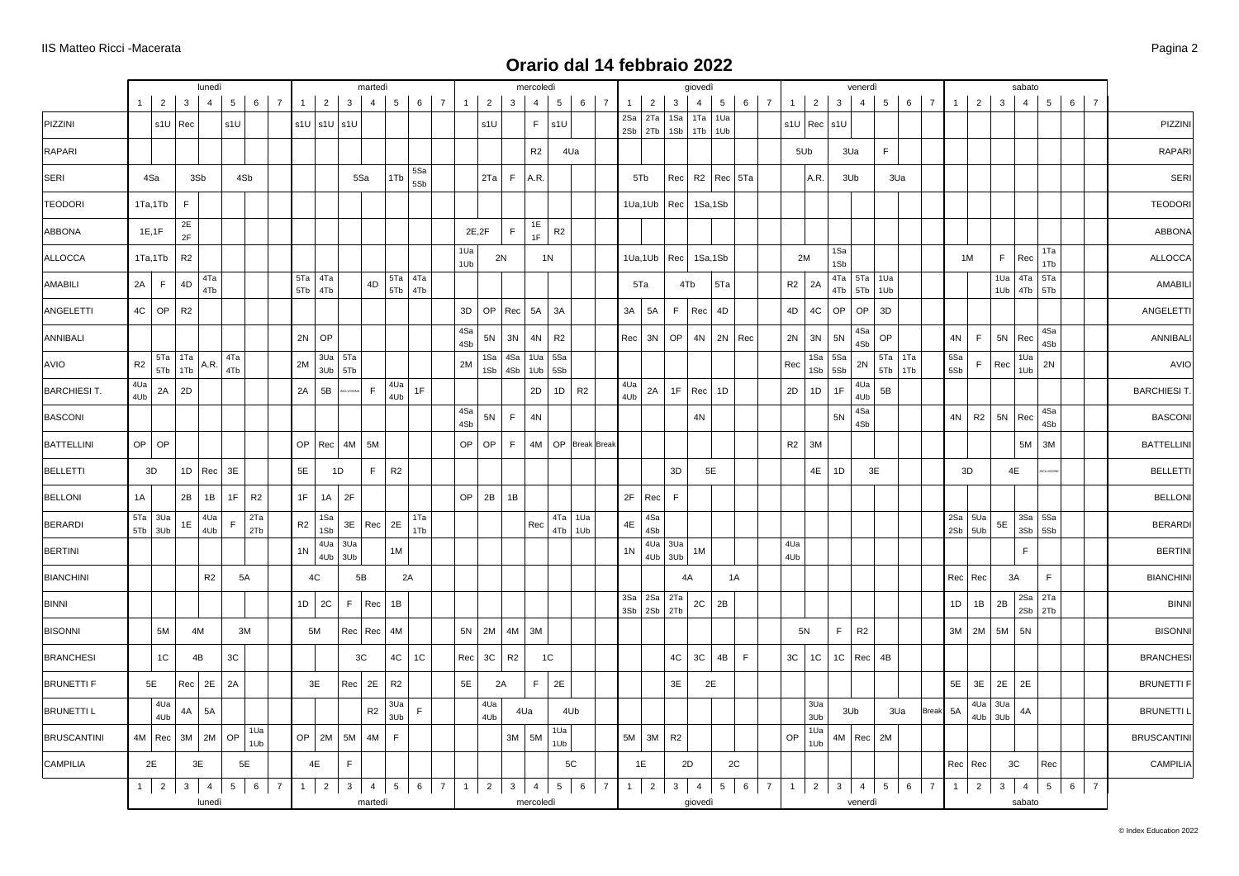|                     |                |            |                        |              | lunedì         |                 |            |                |                |                    |                         | martedi        |                |                    |            |              |                |                | mercoledì                |                              |                |                |                    |                   |                | giovedì            |                |             |                |                |                 |                | venerdì              |                 |                  |                |              |                  |               | sabato         |                              |                |                 |                |                    |
|---------------------|----------------|------------|------------------------|--------------|----------------|-----------------|------------|----------------|----------------|--------------------|-------------------------|----------------|----------------|--------------------|------------|--------------|----------------|----------------|--------------------------|------------------------------|----------------|----------------|--------------------|-------------------|----------------|--------------------|----------------|-------------|----------------|----------------|-----------------|----------------|----------------------|-----------------|------------------|----------------|--------------|------------------|---------------|----------------|------------------------------|----------------|-----------------|----------------|--------------------|
|                     |                | $1 \mid$   | 2 <sup>1</sup><br>3    |              | $\overline{4}$ | $5\overline{5}$ |            | $6 \mid 7$     | 1              | 2 <sup>1</sup>     | $\overline{\mathbf{3}}$ | $\overline{4}$ | 5 <sup>5</sup> |                    | $6 \mid 7$ | $\mathbf{1}$ | $\overline{2}$ | $\mathbf{3}$   | $\overline{4}$           | 5 <sub>5</sub>               | $6-1$          | $\overline{7}$ | $\overline{1}$     | $\overline{2}$    | 3              | $\overline{4}$     | 5              | 6           | $\overline{7}$ | 1              | $\overline{2}$  | 3              | $\overline{4}$       | 5 <sup>5</sup>  |                  | $6 \mid 7$     | $\mathbf{1}$ | $\overline{2}$   | $\mathbf{3}$  | $\overline{4}$ |                              | 5 <sup>5</sup> | $6-1$           | $\overline{7}$ |                    |
| PIZZINI             |                |            | $s1U$ Rec              |              |                | s1U             |            |                |                |                    | $s1U$ $s1U$ $s1U$       |                |                |                    |            |              | s1U            |                | $\mathsf F$ .            | s1U                          |                |                | 2Sa<br>$2Sb$ $2Tb$ | 2Ta               | 1Sa            | 1Ta<br>$1Sb$ $1Tb$ | 1Ua<br>1Ub     |             |                |                | $s1U$ Rec $s1U$ |                |                      |                 |                  |                |              |                  |               |                |                              |                |                 |                | PIZZINI            |
| RAPARI              |                |            |                        |              |                |                 |            |                |                |                    |                         |                |                |                    |            |              |                |                | R <sub>2</sub>           |                              | 4Ua            |                |                    |                   |                |                    |                |             |                |                | 5Ub             |                | 3Ua                  | $\mathsf F$     |                  |                |              |                  |               |                |                              |                |                 |                | RAPARI             |
| SERI                |                | 4Sa        |                        | 3Sb          |                | 4Sb             |            |                |                |                    |                         | 5Sa            | 1Tb            | 5Sa<br>5Sb         |            |              | 2Ta            | F              | A.R.                     |                              |                |                | 5Tb                |                   | Rec            |                    | R2   Rec   5Ta |             |                |                | A.R.            |                | 3Ub                  |                 | 3Ua              |                |              |                  |               |                |                              |                |                 |                | <b>SERI</b>        |
| <b>TEODORI</b>      |                | 1Ta,1Tb    |                        | $\mathsf F$  |                |                 |            |                |                |                    |                         |                |                |                    |            |              |                |                |                          |                              |                |                |                    | 1Ua,1Ub           | Rec            | 1Sa,1Sb            |                |             |                |                |                 |                |                      |                 |                  |                |              |                  |               |                |                              |                |                 |                | <b>TEODORI</b>     |
| ABBONA              |                | 1E, 1F     | 2E<br>2F               |              |                |                 |            |                |                |                    |                         |                |                |                    |            |              | 2E, 2F         | $\mathsf F$    | 1E<br>1F                 | R2                           |                |                |                    |                   |                |                    |                |             |                |                |                 |                |                      |                 |                  |                |              |                  |               |                |                              |                |                 |                | <b>ABBONA</b>      |
| ALLOCCA             |                | 1Ta,1Tb    |                        | R2           |                |                 |            |                |                |                    |                         |                |                |                    |            | 1Ua<br>1Ub   |                | 2N             |                          | 1 <sub>N</sub>               |                |                |                    | 1Ua, 1Ub          | Rec            | 1Sa,1Sb            |                |             |                |                | 2M              | 1Sa<br>1Sb     |                      |                 |                  |                |              | 1M               | $\mathsf F$   | Rec            |                              | 1Ta<br>1Tb     |                 |                | <b>ALLOCCA</b>     |
| AMABILI             |                | 2A         | $\mathsf F$<br>4D      |              | 4Ta<br>4Tb     |                 |            |                |                | 5Ta 4Ta<br>5Tb 4Tb |                         | 4D             |                | 5Ta 4Ta<br>5Tb 4Tb |            |              |                |                |                          |                              |                |                | 5Ta                |                   |                | 4Tb                | 5Ta            |             |                | R <sub>2</sub> | 2A              | 4Tb            | $4Ta$ 5Ta 1Ua<br>5Tb | 1Ub             |                  |                |              |                  | 1Ua           |                | 4Ta 5Ta<br>$1Ub$ $4Tb$ $5Tb$ |                |                 |                | <b>AMABILI</b>     |
| ANGELETTI           |                | $4C$ OP    | R2                     |              |                |                 |            |                |                |                    |                         |                |                |                    |            | 3D           | OP             | Rec            | <b>5A</b>                | 3A                           |                |                | 3A                 | 5A                | F.             | Rec                | 4D             |             |                | 4D             | 4C              | OP             | OP                   | 3D              |                  |                |              |                  |               |                |                              |                |                 |                | ANGELETTI          |
| ANNIBALI            |                |            |                        |              |                |                 |            |                | 2N             | OP                 |                         |                |                |                    |            | 4Sa<br>4Sb   | $5N$           | 3N             | 4N                       | R2                           |                |                | Rec                | 3N                | OP             | 4N                 |                | $2N$ Rec    |                | 2N             | 3N              | 5N             | 4Sa<br>4Sb           | OP              |                  |                | 4N           | F.               |               | $5N$ Rec       |                              | 4Sa<br>4Sb     |                 |                | ANNIBALI           |
| AVIO                | R <sub>2</sub> |            | $5Ta$ 1Ta<br>$5Tb$ 1Tb |              | A.R.           | 4Ta<br>4Tb      |            |                | 2M             | 3Ub                | $3Ua$ 5Ta<br>5Tb        |                |                |                    |            | 2M           |                | 1Sa 4Sa        |                          | 1Ua   5Sa<br>1Sb 4Sb 1Ub 5Sb |                |                |                    |                   |                |                    |                |             |                | Rec            | 1Sa<br>1Sb      | 5Sa<br>5Sb     | 2N                   | 5Tb             | 5Ta   1Ta<br>1Tb |                | 5Sa<br>5Sb   | $\mathsf F$      | Rec           | 1Ua<br>1Ub     |                              | 2N             |                 |                | AVIO               |
| <b>BARCHIESI T.</b> | 4Ua            | 4Ub        | $2A$ 2D                |              |                |                 |            |                | 2A             | 5B                 |                         | F              | 4Ua<br>4Ub     | $1\mathsf{F}$      |            |              |                |                | 2D                       | 1D                           | R2             |                | 4Ua<br>4Ub         | 2A                |                | $1F$ Rec 1D        |                |             |                | 2D             | 1D              | 1F             | 4Ua<br>4Ub           | 5B              |                  |                |              |                  |               |                |                              |                |                 |                | <b>BARCHIESIT</b>  |
| BASCONI             |                |            |                        |              |                |                 |            |                |                |                    |                         |                |                |                    |            | 4Sa<br>4Sb   | $5N$           | F.             | 4N                       |                              |                |                |                    |                   |                | $4N$               |                |             |                |                |                 | 5N             | 4Sa<br>4Sb           |                 |                  |                | 4N           | R2               | 5N            | $ $ Rec        |                              | 4Sa<br>4Sb     |                 |                | <b>BASCONI</b>     |
| <b>BATTELLINI</b>   |                | $OP$ OP    |                        |              |                |                 |            |                | OP             |                    | $Rec$ 4M                | 5M             |                |                    |            | OP           | OP             | F              | 4M                       |                              | OP Break Break |                |                    |                   |                |                    |                |             |                | R2             | 3M              |                |                      |                 |                  |                |              |                  |               |                | 5M                           | 3M             |                 |                | <b>BATTELLINI</b>  |
| <b>BELLETTI</b>     |                | 3D         |                        | $1D$ Rec     |                | 3E              |            |                | 5E             |                    | 1D                      | F              | R <sub>2</sub> |                    |            |              |                |                |                          |                              |                |                |                    |                   | 3D             | 5E                 |                |             |                |                | 4E              | 1D             | 3E                   |                 |                  |                |              | 3D               |               | 4E             |                              |                |                 |                | <b>BELLETTI</b>    |
| <b>BELLONI</b>      | 1A             |            |                        | 2B           | 1B             | 1F              | R2         |                | 1F             | 1A                 | 2F                      |                |                |                    |            | OP           | 2B             | 1B             |                          |                              |                |                |                    | $2F$ Rec          | E              |                    |                |             |                |                |                 |                |                      |                 |                  |                |              |                  |               |                |                              |                |                 |                | <b>BELLONI</b>     |
| <b>BERARDI</b>      |                | $5Ta$ 3Ua  |                        | 1E           | 4Ua<br>4Ub     | F               | 2Ta<br>2Tb |                | R <sub>2</sub> | 1Sa<br>1Sb         | 3E                      | $ $ Rec $ $    | 2E             | 1Ta<br>1Tb         |            |              |                |                | Rec                      | 4Tb                          | 4Ta 1Ua        |                | $4\mathsf{E}$      | 4Sa<br>4Sb        |                |                    |                |             |                |                |                 |                |                      |                 |                  |                | 2Sb          | $2Sa$ 5Ua<br>5Ub | $5\mathsf{E}$ |                | 3Sa 5Sa                      |                |                 |                | <b>BERARDI</b>     |
| <b>BERTINI</b>      |                | $5Tb$ 3Ub  |                        |              |                |                 |            |                | 1 <sub>N</sub> | 4Ua                | 3Ua                     |                | 1M             |                    |            |              |                |                |                          |                              | 1Ub            |                | 1 <sub>N</sub>     | 4Ua               | 3Ua            | 1M                 |                |             |                | 4Ua            |                 |                |                      |                 |                  |                |              |                  |               | 3Sb<br>F.      |                              | 5Sb            |                 |                | <b>BERTINI</b>     |
| <b>BIANCHINI</b>    |                |            |                        |              | R2             | 5A              |            |                |                | 4Ub<br>4C          | 3Ub                     | 5B             |                | 2A                 |            |              |                |                |                          |                              |                |                |                    | 4Ub               | 3Ub            | 4A                 |                | 1A          |                | 4Ub            |                 |                |                      |                 |                  |                |              | $Rec$ Rec        |               | 3A             |                              | F              |                 |                | <b>BIANCHINI</b>   |
| <b>BINNI</b>        |                |            |                        |              |                |                 |            |                | 1D             | 2C                 | F                       | Rec            | 1B             |                    |            |              |                |                |                          |                              |                |                | 3Sa                | 2Sa 2Ta           |                | $2\mathtt{C}$      | 2B             |             |                |                |                 |                |                      |                 |                  |                | 1D           | 1B               | $2\mathsf{B}$ |                | $2Sa$ $2Ta$                  |                |                 |                | <b>BINNI</b>       |
| <b>BISONNI</b>      |                |            | 5M                     | 4M           |                | 3M              |            |                |                | 5M                 |                         | Rec   Rec      | 4M             |                    |            |              | $5N$ 2M        | 4M             | 3M                       |                              |                |                |                    | $3Sb$ $2Sb$ $2Tb$ |                |                    |                |             |                |                | 5N              | F.             | R <sub>2</sub>       |                 |                  |                |              | $3M$   2M        | 5M            | 5N             | 2Sb                          | 2Tb            |                 |                | <b>BISONNI</b>     |
| <b>BRANCHESI</b>    |                |            | $1\mathrm{C}$          | 4B           |                | $3\mathrm{C}$   |            |                |                |                    |                         | 3C             | 4C             | 1C                 |            | Rec          | $3\mathrm{C}$  | R2             |                          | 1C                           |                |                |                    |                   | 4C             | $3\mathrm{C}$      | $4\mathsf{B}$  | $\mathsf F$ |                | 3C             | 1C              | 1C             | Rec                  | 4B              |                  |                |              |                  |               |                |                              |                |                 |                | <b>BRANCHESI</b>   |
| <b>BRUNETTI F</b>   |                | 5E         |                        | Rec          | 2E             | 2A              |            |                |                | 3E                 | Rec                     | 2E             | R <sub>2</sub> |                    |            | 5E           |                | 2A             | $\mathsf F$ .            | 2E                           |                |                |                    |                   | 3E             | 2E                 |                |             |                |                |                 |                |                      |                 |                  |                | 5E           | 3E               | 2E            | 2E             |                              |                |                 |                | <b>BRUNETTI F</b>  |
| <b>BRUNETTI L</b>   |                |            | 4Ua                    | 4A           | 5A             |                 |            |                |                |                    |                         | R2             | 3Ua            | E                  |            |              | 4Ua            |                | 4Ua                      |                              | 4Ub            |                |                    |                   |                |                    |                |             |                |                | 3Ua             |                | 3Ub                  |                 | 3Ua              | Break          | 5A           |                  | 4Ua 3Ua       | 4A             |                              |                |                 |                | <b>BRUNETTI L</b>  |
| <b>BRUSCANTINI</b>  |                | 4M   Rec   | 4Ub                    | 3M           | 2M             | OP              | 1Ua        |                | OP             | 2M                 | 5M                      | 4M             | 3Ub<br>F       |                    |            |              | 4Ub            |                | $3M \vert 5M$            | 1Ua                          |                |                | $5M$ 3M            |                   | R <sub>2</sub> |                    |                |             |                | OP             | 3Ub<br>1Ua      |                | 4M   Rec   2M        |                 |                  |                |              |                  | $4Ub$ 3Ub     |                |                              |                |                 |                | <b>BRUSCANTINI</b> |
| CAMPILIA            |                | 2E         |                        | 3E           |                | 5E              | 1Ub        |                |                | $4\mathsf{E}$      | $\mathsf F$             |                |                |                    |            |              |                |                |                          | 1Ub                          | 5C             |                | 1E                 |                   |                | 2D                 |                | 2C          |                |                | 1Ub             |                |                      |                 |                  |                |              | $Rec$ Rec        |               | 3C             |                              | Rec            |                 |                | CAMPILIA           |
|                     |                | $1 \mid 2$ |                        | $\mathbf{3}$ | $\overline{4}$ |                 | $5 \mid 6$ | $\overline{7}$ | 1              | $\overline{2}$     | 3 <sup>3</sup>          | $\overline{4}$ | 5 <sub>1</sub> |                    | $6 \mid 7$ | $\mathbf{1}$ | $2 \mid$       | 3 <sup>1</sup> | $\begin{array}{ c c }$ 4 | 5 <sub>1</sub>               | 6              | $\overline{7}$ | $1 \mid$           | $\overline{2}$    |                | $3 \mid 4$         |                | $5 \mid 6$  | $\overline{7}$ | 1              | $\overline{2}$  | $\overline{3}$ | $\overline{4}$       | $5\overline{)}$ | 6                | $\overline{7}$ |              | $1 \mid 2 \mid$  | $\mathbf{3}$  | $\overline{4}$ |                              | 5 <sub>5</sub> | $6\overline{6}$ | $\overline{7}$ |                    |
|                     |                |            |                        |              | lunedì         |                 |            |                |                |                    |                         | martedì        |                |                    |            |              |                |                | mercoledì                |                              |                |                |                    |                   |                | giovedì            |                |             |                |                |                 |                | venerdì              |                 |                  |                |              |                  |               | sabato         |                              |                |                 |                |                    |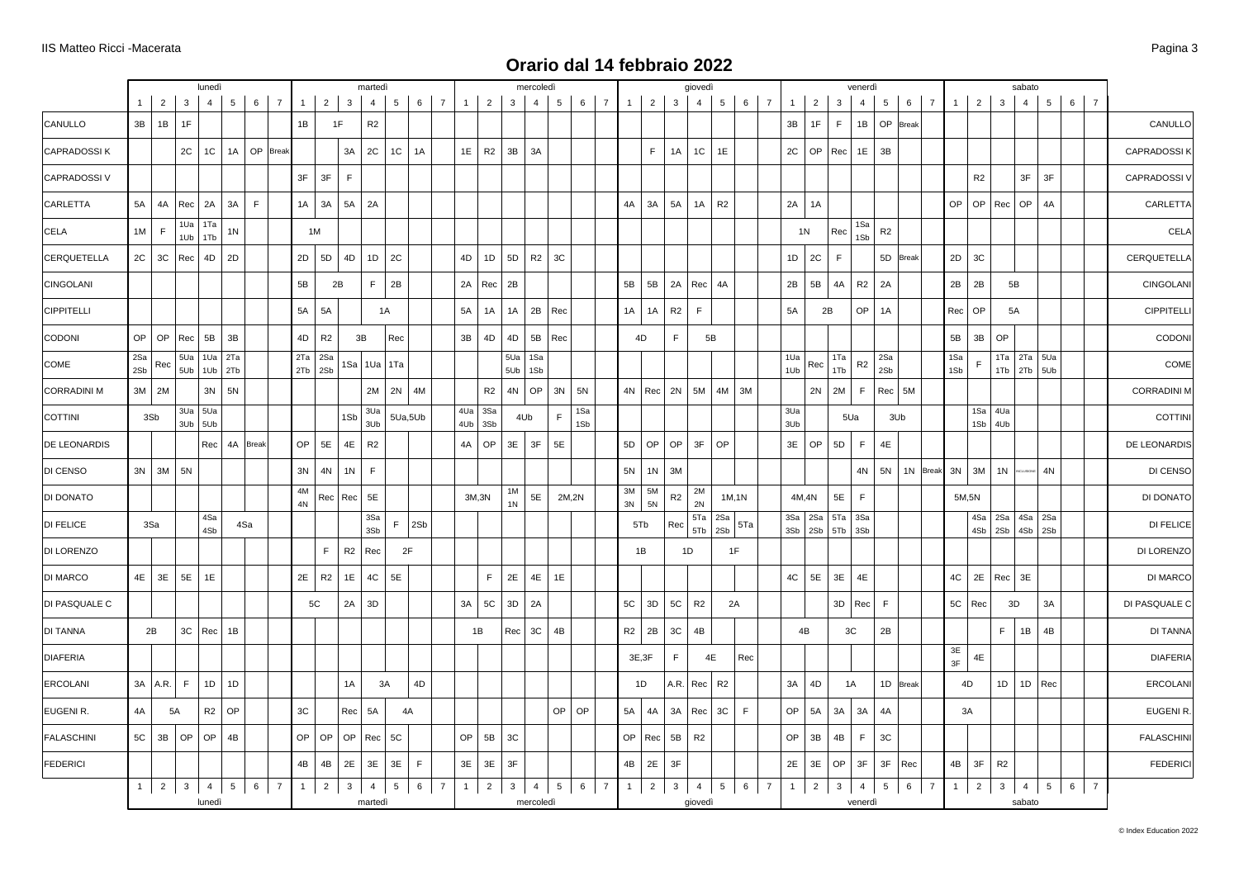|              |                |                                                                        | lunedì                   |                        |                              |                       |              |    |                                                |                                                               | martedì                                                                 |                                                                                                                                                                                                     |                                                                                               |                                                                                               |    |                                                                                |                                                                                                                            | mercoledì      |                |            |                |                |                |                                | giovedì                   |                 |             |                                  |                |                |                                                 | venerdì                   |                            |       |                |                |                |                                                                                        | sabato         |                                                                      |                                  |                                                                                              |                          |
|--------------|----------------|------------------------------------------------------------------------|--------------------------|------------------------|------------------------------|-----------------------|--------------|----|------------------------------------------------|---------------------------------------------------------------|-------------------------------------------------------------------------|-----------------------------------------------------------------------------------------------------------------------------------------------------------------------------------------------------|-----------------------------------------------------------------------------------------------|-----------------------------------------------------------------------------------------------|----|--------------------------------------------------------------------------------|----------------------------------------------------------------------------------------------------------------------------|----------------|----------------|------------|----------------|----------------|----------------|--------------------------------|---------------------------|-----------------|-------------|----------------------------------|----------------|----------------|-------------------------------------------------|---------------------------|----------------------------|-------|----------------|----------------|----------------|----------------------------------------------------------------------------------------|----------------|----------------------------------------------------------------------|----------------------------------|----------------------------------------------------------------------------------------------|--------------------------|
| $\mathbf{1}$ | $\overline{2}$ | 3                                                                      | $\overline{4}$           | 5                      | 6                            | $\overline{7}$        | 1            |    | $\overline{\mathbf{3}}$                        |                                                               |                                                                         |                                                                                                                                                                                                     |                                                                                               |                                                                                               |    |                                                                                | $\mathbf{3}$                                                                                                               | $\overline{4}$ | 5 <sub>5</sub> |            | $\overline{7}$ | 1              | $\overline{2}$ | 3                              | $\overline{4}$            | $5\overline{)}$ | 6           | $\overline{7}$                   | $\mathbf{1}$   | $\overline{2}$ | 3                                               | $\overline{4}$            | 5                          | 6     | $\overline{7}$ | 1              | $\overline{2}$ | $\mathbf{3}$                                                                           | $\overline{4}$ |                                                                      |                                  |                                                                                              |                          |
| 3B           | 1B             | 1F                                                                     |                          |                        |                              |                       | 1B           |    | 1F                                             |                                                               |                                                                         |                                                                                                                                                                                                     |                                                                                               |                                                                                               |    |                                                                                |                                                                                                                            |                |                |            |                |                |                |                                |                           |                 |             |                                  | 3B             | 1F             | $\mathsf F$                                     | 1B                        | <b>OP</b>                  | Break |                |                |                |                                                                                        |                |                                                                      |                                  |                                                                                              | CANULLO                  |
|              |                | 2C                                                                     | 1C                       | 1A                     | OP                           | <b>Break</b>          |              |    | 3A                                             |                                                               |                                                                         |                                                                                                                                                                                                     |                                                                                               |                                                                                               |    |                                                                                | 3B                                                                                                                         | 3A             |                |            |                |                | $\mathsf F$    | 1A                             | $1C$                      | 1E              |             |                                  | 2C             | OP             | Rec                                             | 1E                        | 3B                         |       |                |                |                |                                                                                        |                |                                                                      |                                  |                                                                                              | CAPRADOSSI K             |
|              |                |                                                                        |                          |                        |                              |                       | 3F           | 3F | F                                              |                                                               |                                                                         |                                                                                                                                                                                                     |                                                                                               |                                                                                               |    |                                                                                |                                                                                                                            |                |                |            |                |                |                |                                |                           |                 |             |                                  |                |                |                                                 |                           |                            |       |                |                | R <sub>2</sub> |                                                                                        |                | 3F                                                                   |                                  |                                                                                              | <b>CAPRADOSSI</b>        |
| 5A           | 4A             |                                                                        | 2A                       | 3A                     | $\mathsf F$                  |                       |              | 3A | 5A                                             |                                                               |                                                                         |                                                                                                                                                                                                     |                                                                                               |                                                                                               |    |                                                                                |                                                                                                                            |                |                |            |                | 4A             | 3A             | 5A                             | 1A                        | R2              |             |                                  | 2A             | 1A             |                                                 |                           |                            |       |                |                | OP             | Rec                                                                                    |                | 4A                                                                   |                                  |                                                                                              | <b>CARLETTA</b>          |
| 1M           | $\mathsf F$    | 1Ua<br>1Ub                                                             | 1Ta<br>1Tb               | 1 <sub>N</sub>         |                              |                       |              | 1M |                                                |                                                               |                                                                         |                                                                                                                                                                                                     |                                                                                               |                                                                                               |    |                                                                                |                                                                                                                            |                |                |            |                |                |                |                                |                           |                 |             |                                  |                |                | Rec                                             | 1Sa<br>1Sb                | R2                         |       |                |                |                |                                                                                        |                |                                                                      |                                  |                                                                                              | CELA                     |
| 2C           | 3C             | Rec                                                                    | 4D                       | 2D                     |                              |                       |              |    | 4D                                             |                                                               |                                                                         |                                                                                                                                                                                                     |                                                                                               |                                                                                               |    |                                                                                | 5 <sub>D</sub>                                                                                                             | R2             | 3C             |            |                |                |                |                                |                           |                 |             |                                  | 1D             | 2C             | $\mathsf F$                                     |                           | 5D                         | Break |                |                | 3C             |                                                                                        |                |                                                                      |                                  |                                                                                              | <b>CERQUETELLA</b>       |
|              |                |                                                                        |                          |                        |                              |                       | 5B           |    | 2B                                             |                                                               |                                                                         |                                                                                                                                                                                                     |                                                                                               |                                                                                               |    |                                                                                | 2B                                                                                                                         |                |                |            |                | 5B             | 5B             | 2A                             | Rec                       | 4A              |             |                                  | 2B             | 5B             | 4A                                              | R2                        | 2A                         |       |                |                | 2B             |                                                                                        |                |                                                                      |                                  |                                                                                              | CINGOLAN                 |
|              |                |                                                                        |                          |                        |                              |                       |              | 5A |                                                |                                                               | 1A                                                                      |                                                                                                                                                                                                     |                                                                                               |                                                                                               |    |                                                                                | 1A                                                                                                                         | 2B             | Rec            |            |                | 1A             | 1A             | R <sub>2</sub>                 | F.                        |                 |             |                                  | 5A             |                |                                                 | OP                        | 1A                         |       |                |                | OP             |                                                                                        |                |                                                                      |                                  |                                                                                              | <b>CIPPITELL</b>         |
| OP           | OP             |                                                                        | 5B                       | 3B                     |                              |                       |              | R2 |                                                | 3B                                                            |                                                                         |                                                                                                                                                                                                     |                                                                                               |                                                                                               |    |                                                                                | 4D                                                                                                                         | 5B             | Rec            |            |                |                |                | F                              |                           |                 |             |                                  |                |                |                                                 |                           |                            |       |                |                | 3B             | OP                                                                                     |                |                                                                      |                                  |                                                                                              | CODON                    |
| 2Sa<br>2Sb   | Rec            | 5Ua                                                                    | 1Ua                      | 2Ta                    |                              |                       |              |    |                                                |                                                               |                                                                         |                                                                                                                                                                                                     |                                                                                               |                                                                                               |    |                                                                                | 5Ua<br>5Ub                                                                                                                 | 1Sa<br>1Sb     |                |            |                |                |                |                                |                           |                 |             |                                  | 1Ua<br>1Ub     | Rec            | 1Ta<br>1Tb                                      | R <sub>2</sub>            | 2Sa<br>2Sb                 |       |                |                | E              |                                                                                        |                |                                                                      |                                  |                                                                                              | COME                     |
|              |                |                                                                        | 3N                       | 5N                     |                              |                       |              |    |                                                |                                                               |                                                                         |                                                                                                                                                                                                     |                                                                                               |                                                                                               |    |                                                                                | 4N                                                                                                                         | OP             | 3N             | 5N         |                |                |                | 2N                             | 5M                        | 4M              | 3M          |                                  |                |                |                                                 | $\mathsf F$               |                            |       |                |                |                |                                                                                        |                |                                                                      |                                  |                                                                                              | <b>CORRADINI M</b>       |
|              |                |                                                                        |                          |                        |                              |                       |              |    |                                                |                                                               |                                                                         |                                                                                                                                                                                                     |                                                                                               |                                                                                               |    |                                                                                |                                                                                                                            |                | F              | 1Sa<br>1Sb |                |                |                |                                |                           |                 |             |                                  | 3Ua<br>3Ub     |                |                                                 |                           |                            |       |                |                |                |                                                                                        |                |                                                                      |                                  |                                                                                              | COTTIN                   |
|              |                |                                                                        |                          |                        |                              |                       | OP           |    |                                                |                                                               |                                                                         |                                                                                                                                                                                                     |                                                                                               |                                                                                               |    |                                                                                | 3E                                                                                                                         | 3F             | 5E             |            |                | 5D             | <b>OP</b>      | OP                             | 3F                        | OP              |             |                                  | 3E             | OP             | 5D                                              | $\mathsf F$               | $4\mathsf{E}$              |       |                |                |                |                                                                                        |                |                                                                      |                                  |                                                                                              | DE LEONARDIS             |
|              |                | 5N                                                                     |                          |                        |                              |                       | 3N           |    |                                                |                                                               |                                                                         |                                                                                                                                                                                                     |                                                                                               |                                                                                               |    |                                                                                |                                                                                                                            |                |                |            |                | 5N             | 1 <sub>N</sub> | 3M                             |                           |                 |             |                                  |                |                |                                                 | 4N                        | 5N                         |       |                |                | 3M             | 1 <sup>N</sup>                                                                         |                | 4N                                                                   |                                  |                                                                                              | DI CENSO                 |
|              |                |                                                                        |                          |                        |                              |                       | 4M<br>4N     |    |                                                |                                                               |                                                                         |                                                                                                                                                                                                     |                                                                                               |                                                                                               |    |                                                                                | 1M<br>1 <sub>N</sub>                                                                                                       | 5E             |                |            |                | $3M$<br>3N     | 5M<br>5N       | R <sub>2</sub>                 | 2M<br>2N                  |                 |             |                                  |                |                | 5E                                              | F                         |                            |       |                |                |                |                                                                                        |                |                                                                      |                                  |                                                                                              | DI DONATO                |
|              |                |                                                                        | 4Sa<br>4Sb               |                        |                              |                       |              |    |                                                |                                                               |                                                                         |                                                                                                                                                                                                     |                                                                                               |                                                                                               |    |                                                                                |                                                                                                                            |                |                |            |                |                |                | Rec                            | 5Ta<br>5Tb                | 2Sa<br>2Sb      | 5Ta         |                                  |                |                | 5Ta                                             | 3Sa                       |                            |       |                |                | 4Sb            | 2Sb                                                                                    |                |                                                                      |                                  |                                                                                              | DI FELICE                |
|              |                |                                                                        |                          |                        |                              |                       |              | F  |                                                |                                                               |                                                                         | 2F                                                                                                                                                                                                  |                                                                                               |                                                                                               |    |                                                                                |                                                                                                                            |                |                |            |                |                |                |                                |                           |                 |             |                                  |                |                |                                                 |                           |                            |       |                |                |                |                                                                                        |                |                                                                      |                                  |                                                                                              | DI LORENZO               |
| 4E           | 3E             | 5E                                                                     | 1E                       |                        |                              |                       |              |    | 1E                                             |                                                               |                                                                         |                                                                                                                                                                                                     |                                                                                               |                                                                                               |    | F.                                                                             | 2E                                                                                                                         | 4E             | 1E             |            |                |                |                |                                |                           |                 |             |                                  | 4C             | 5E             | 3E                                              | 4E                        |                            |       |                |                | 2E             | Rec                                                                                    | 3E             |                                                                      |                                  |                                                                                              | DI MARCO                 |
|              |                |                                                                        |                          |                        |                              |                       |              | 5C |                                                |                                                               |                                                                         |                                                                                                                                                                                                     |                                                                                               |                                                                                               |    |                                                                                | 3D                                                                                                                         | 2A             |                |            |                | 5C             | 3D             | 5C                             | R2                        |                 |             |                                  |                |                | 3D                                              | Rec                       | $\mathsf F$                |       |                |                | Rec            |                                                                                        |                | 3A                                                                   |                                  |                                                                                              | DI PASQUALE C            |
|              |                |                                                                        |                          |                        |                              |                       |              |    |                                                |                                                               |                                                                         |                                                                                                                                                                                                     |                                                                                               |                                                                                               | 1B |                                                                                | Rec                                                                                                                        | 3C             | 4B             |            |                | R <sub>2</sub> | 2B             | 3C                             | 4B                        |                 |             |                                  |                |                |                                                 |                           | 2B                         |       |                |                |                | F                                                                                      |                | 4B                                                                   |                                  |                                                                                              | DI TANNA                 |
|              |                |                                                                        |                          |                        |                              |                       |              |    |                                                |                                                               |                                                                         |                                                                                                                                                                                                     |                                                                                               |                                                                                               |    |                                                                                |                                                                                                                            |                |                |            |                |                |                | F.                             |                           |                 | Rec         |                                  |                |                |                                                 |                           |                            |       |                |                | 4E             |                                                                                        |                |                                                                      |                                  |                                                                                              | <b>DIAFERIA</b>          |
|              |                | F                                                                      | 1D                       | 1D                     |                              |                       |              |    | 1A                                             |                                                               | 3A                                                                      |                                                                                                                                                                                                     |                                                                                               |                                                                                               |    |                                                                                |                                                                                                                            |                |                |            |                |                |                |                                |                           | R <sub>2</sub>  |             |                                  | 3A             | 4D             |                                                 |                           | 1D                         | Break |                |                | 4D             | 1D                                                                                     |                |                                                                      |                                  |                                                                                              | ERCOLANI                 |
| 4A           |                |                                                                        | R2                       | OP                     |                              |                       | 3C           |    |                                                |                                                               |                                                                         | 4A                                                                                                                                                                                                  |                                                                                               |                                                                                               |    |                                                                                |                                                                                                                            |                | OP             | OP         |                | 5A             | 4A             | 3A                             | Rec                       | 3C              | $\mathsf F$ |                                  | OP             | 5A             | 3A                                              | 3A                        | 4A                         |       |                |                | 3A             |                                                                                        |                |                                                                      |                                  |                                                                                              | <b>EUGENIR</b>           |
| 5C           | 3B             | OP                                                                     | OP                       | 4B                     |                              |                       |              |    |                                                |                                                               |                                                                         |                                                                                                                                                                                                     |                                                                                               |                                                                                               |    |                                                                                | 3C                                                                                                                         |                |                |            |                |                |                | 5B                             | R <sub>2</sub>            |                 |             |                                  | OP             | 3B             | 4B                                              | F                         | 3C                         |       |                |                |                |                                                                                        |                |                                                                      |                                  |                                                                                              | <b>FALASCHINI</b>        |
|              |                |                                                                        |                          |                        |                              |                       | 4B           | 4B | 2E                                             |                                                               |                                                                         |                                                                                                                                                                                                     |                                                                                               |                                                                                               |    |                                                                                | 3F                                                                                                                         |                |                |            |                | 4B             | 2E             | 3F                             |                           |                 |             |                                  | 2E             | 3E             | OP                                              | 3F                        | 3F                         | Rec   |                |                | 3F             | R2                                                                                     |                |                                                                      |                                  |                                                                                              | <b>FEDERICI</b>          |
| 1            |                | $\mathbf{3}$                                                           | $\overline{4}$<br>lunedì |                        | $6\overline{6}$              | $\overline{7}$        | $\mathbf{1}$ |    | $\overline{\mathbf{3}}$                        |                                                               |                                                                         |                                                                                                                                                                                                     |                                                                                               |                                                                                               |    |                                                                                | 3 <sup>1</sup>                                                                                                             | 4              | 5 <sup>5</sup> |            | $\overline{7}$ | 1              | $\overline{2}$ | $\mathbf{3}$                   | $\overline{4}$<br>giovedì |                 |             | $\overline{7}$                   | $\overline{1}$ | $\overline{2}$ | $\mathbf{3}$                                    | $\overline{4}$<br>venerdì | 5                          |       | $\overline{7}$ |                |                | $\mathbf{3}$                                                                           | sabato         |                                                                      |                                  |                                                                                              |                          |
|              |                | $3M$ 2M<br>3Sb<br>$3N$ 3M<br>3Sa<br>2B<br>3A   A.R.<br>$2\overline{ }$ | Rec <br>Rec<br>5A        | $3Ua$ 5Ua<br>$3Ub$ 5Ub | $5Ub$ 1Ub 2Tb<br>$3C$ Rec 1B | 4Sa<br>5 <sub>1</sub> | Rec 4A Break |    | 1A<br>2D<br><b>5A</b><br>4D<br>2Ta<br>2E<br>OP | $2 \mid$<br>5D<br>2Sa<br>2Tb 2Sb<br>5E<br>4N<br>R2<br>OP<br>2 | 1Sa<br>1Sb<br>4E<br>1 <sup>N</sup><br>R <sub>2</sub><br>2A<br>Rec<br>OP | $\overline{4}$<br>R <sub>2</sub><br>2C<br>2A<br>1D<br>F<br>$1$ Ua<br>2M<br>3Ua<br>3Ub<br>R2<br>F<br>Rec   Rec   5E<br>3Sa<br>3Sb<br>Rec<br>4C<br>3D<br>5A<br>Rec<br>3E<br>$\overline{4}$<br>martedì | 5 <sub>5</sub><br>1C<br>2C<br>2B<br>Rec<br>1Ta<br>2N<br>F<br>5E<br>5C<br>3E<br>5 <sub>5</sub> | 6<br>$\overline{7}$<br>1A<br>4M<br>5Ua,5Ub<br>2Sb<br>4D<br>$\mathsf F$<br>6<br>$\overline{7}$ |    | $\mathbf{1}$<br>1E<br>4D<br>2A<br>5A<br>3B<br>4Ub<br>4A<br>3A<br>OP<br>3E<br>1 | $\overline{2}$<br>R2<br>1D<br>Rec<br>1A<br>4D<br>R2<br>$4Ua$ 3Sa<br>3Sb<br>OP<br>3M,3N<br>5C<br>5B<br>3E<br>$\overline{2}$ |                | 4Ub            | mercoledì  | 2M,2N          | $6 \mid$<br>6  |                | 4D<br>5Tb<br>1B<br>3E,3F<br>1D | 4N   Rec <br>OP   Rec     | 1D<br>A.R. Rec  | 5B<br>4E    | 1M, 1N<br>1F<br>2A<br>$5 \mid 6$ |                |                | $1N$<br>4M,4N<br>$3Sa$ $2Sa$<br>$3Sb$ 2Sb<br>4B | 2B<br>$2N$ 2M             | 5Ua<br>5Tb 3Sb<br>3C<br>1A |       | Rec 5M<br>3Ub  | 6 <sup>1</sup> | 1N Break       | OP<br>2D<br>2B<br>Rec<br>5B<br>1Sa<br>1Sb<br>3N<br>5M,5N<br>4C<br>5C<br>3E<br>3F<br>4B | $1 \mid 2$     | 5B<br>5A<br>1Ta<br>1Tb<br>$1$ Sa 4Ua<br>$1Sb$ 4Ub<br>$4Sa$ 2Sa<br>3D | 3F<br>OP<br>1B<br>$\overline{4}$ | $5\overline{5}$<br>2Ta 5Ua<br>$2Tb$ 5Ub<br>4Sa 2Sa<br>4Sb 2Sb<br>$1D$ Rec<br>$5\overline{)}$ | $6 \mid 7$<br>$6 \mid 7$ |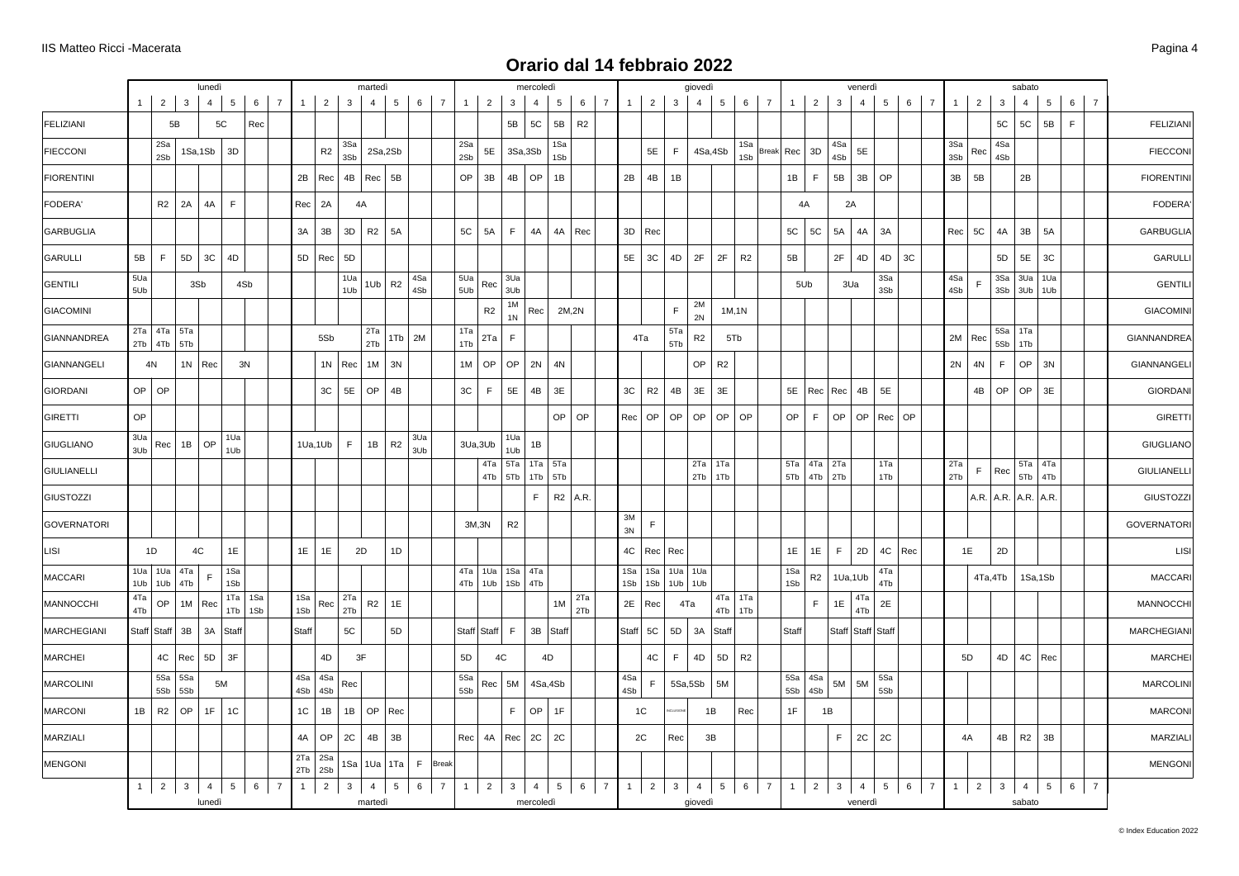|                    |            |                                  |                         | lunedì                   |             |                  |                |            |                    |                         | martedì        |                |            |                |                |                |                                 | mercoledì                   |                  |                |                 |                |                           |                | giovedì                                     |                  |                  |            |           |                              |                                     | venerdì                   |                   |          |                            |                |                |                | sabato                      |                |                 |                |                |                    |
|--------------------|------------|----------------------------------|-------------------------|--------------------------|-------------|------------------|----------------|------------|--------------------|-------------------------|----------------|----------------|------------|----------------|----------------|----------------|---------------------------------|-----------------------------|------------------|----------------|-----------------|----------------|---------------------------|----------------|---------------------------------------------|------------------|------------------|------------|-----------|------------------------------|-------------------------------------|---------------------------|-------------------|----------|----------------------------|----------------|----------------|----------------|-----------------------------|----------------|-----------------|----------------|----------------|--------------------|
|                    | $1 \mid$   |                                  | $2 \mid 3$              | $\overline{4}$           | 5           | 6                | $\overline{7}$ | 1          | $2 \mid$           | $\overline{3}$          | $\overline{4}$ | 5 <sup>5</sup> |            | $6 \mid 7$     | $\mathbf{1}$   | $\overline{2}$ | $\mathbf{3}$                    | $\overline{4}$              |                  | 5 <sub>5</sub> | 6               | 7 <sup>1</sup> | $\vert$ 1 $\vert$         | $2 \mid$       | 4<br>3 <sup>3</sup>                         | $5\overline{)}$  |                  | 6 7        |           | $\mathbf{1}$                 | $2 \mid$<br>$\overline{\mathbf{3}}$ | $\overline{4}$            | 5 <sup>1</sup>    |          | $6 \mid 7$                 | $\overline{1}$ | $\overline{2}$ | $\overline{3}$ | $\overline{4}$              |                | $5\overline{5}$ | 6 <sup>1</sup> | $\overline{7}$ |                    |
| FELIZIANI          |            |                                  | $5\mathsf{B}$           |                          | 5C          | Rec              |                |            |                    |                         |                |                |            |                |                |                | 5B                              | <b>5C</b>                   | 5B               |                | R2              |                |                           |                |                                             |                  |                  |            |           |                              |                                     |                           |                   |          |                            |                |                | 5C             | $5\mathrm{C}$               | 5B             |                 | $\mathsf F$    |                | <b>FELIZIANI</b>   |
| <b>FIECCONI</b>    |            | 2Sa<br>2Sb                       |                         |                          | 1Sa, 1Sb 3D |                  |                |            | R <sub>2</sub>     | 3Sa<br>3Sb              |                | 2Sa,2Sb        |            |                | 2Sa<br>2Sb     | 5E             |                                 | 3Sa,3Sb                     |                  | 1Sa<br>1Sb     |                 |                |                           | 5E             | F                                           | 4Sa,4Sb          |                  | 1Sa<br>1Sb | Break Rec | 3D                           | 4Sa<br>4Sb                          | 5E                        |                   |          |                            | 3Sa<br>3Sb     | Rec            | 4Sa<br>4Sb     |                             |                |                 |                |                | <b>FIECCONI</b>    |
| <b>FIORENTINI</b>  |            |                                  |                         |                          |             |                  |                | 2B         | Rec                | 4B                      | Rec            | 5B             |            |                | OP             | 3B             | 4B                              | OP                          | 1B               |                |                 |                | 2B                        | 4B             | 1B                                          |                  |                  |            |           | 1B<br>F.                     | 5B                                  | 3B                        | OP                |          |                            | 3B             | 5B             |                | 2B                          |                |                 |                |                | <b>FIORENTINI</b>  |
| FODERA'            |            | R2                               | 2A                      | 4A                       | $\mathsf F$ |                  |                | Rec        | 2A                 |                         | 4A             |                |            |                |                |                |                                 |                             |                  |                |                 |                |                           |                |                                             |                  |                  |            |           | 4A                           |                                     | 2A                        |                   |          |                            |                |                |                |                             |                |                 |                |                | FODERA'            |
| GARBUGLIA          |            |                                  |                         |                          |             |                  |                | 3A         | 3B                 | 3D                      | R2             | 5A             |            |                | 5C             | 5A             | F                               | 4A                          |                  | 4A Rec         |                 |                | $3D$ Rec                  |                |                                             |                  |                  |            |           | 5C<br>5C                     | 5A                                  | 4A                        | 3A                |          |                            | Rec            | 5C             | 4A             | 3B                          | 5A             |                 |                |                | <b>GARBUGLIA</b>   |
| GARULLI            | 5B         | F                                | 5D                      | 3C                       | 4D          |                  |                |            | 5D Rec             | 5D                      |                |                |            |                |                |                |                                 |                             |                  |                |                 |                | 5E<br>3C                  |                | 2F<br>4D                                    | 2F               | R2               |            | 5B        |                              | 2F                                  | 4D                        | 4D                | 3C       |                            |                |                | 5D             | 5E                          |                | 3C              |                |                | <b>GARULLI</b>     |
| GENTILI            | 5Ua<br>5Ub |                                  |                         | 3Sb                      |             | 4Sb              |                |            |                    | 1Ua<br>1Ub              | 1Ub            | R <sub>2</sub> | 4Sa<br>4Sb |                | 5Ua<br>5Ub     | Rec            | 3Ua<br>3Ub                      |                             |                  |                |                 |                |                           |                |                                             |                  |                  |            |           | 5Ub                          |                                     | 3Ua                       | 3Sa<br>3Sb        |          |                            | 4Sa<br>4Sb     | F              |                | 3Sa   3Ua<br>$3Sb$ $3Ub$    |                | 1Ua<br>1Ub      |                |                | <b>GENTILI</b>     |
| GIACOMINI          |            |                                  |                         |                          |             |                  |                |            |                    |                         |                |                |            |                |                | R2             | $1\mathrm{M}$<br>1 <sub>N</sub> | Rec                         |                  | 2M,2N          |                 |                |                           |                | 2M<br>$\mathsf F$<br>2N                     |                  | 1M, 1N           |            |           |                              |                                     |                           |                   |          |                            |                |                |                |                             |                |                 |                |                | <b>GIACOMINI</b>   |
| GIANNANDREA        |            | 2Ta   4Ta   5Ta<br>$2Tb$ 4Tb 5Tb |                         |                          |             |                  |                |            | 5Sb                |                         | 2Ta<br>2Tb     |                | $1Tb$ 2M   |                | 1Ta<br>1Tb     | 2Ta            | $\mathsf F$                     |                             |                  |                |                 |                | 4Ta                       |                | 5Ta<br>${\sf R2}$<br>5Tb                    |                  | 5Tb              |            |           |                              |                                     |                           |                   |          |                            |                | 2M   Rec       | 5Sa<br>5Sb     | 1Ta<br>1Tb                  |                |                 |                |                | <b>GIANNANDREA</b> |
| GIANNANGELI        |            | 4N                               |                         | $1N$ Rec                 |             | 3N               |                |            |                    | 1N   Rec                |                | $1M$ 3N        |            |                | 1M             | OP             | OP                              | 2N                          | 4N               |                |                 |                |                           |                | OP                                          | R2               |                  |            |           |                              |                                     |                           |                   |          |                            | 2N             | 4N             | F.             | OP                          | 3N             |                 |                |                | GIANNANGELI        |
| <b>GIORDANI</b>    |            | $OP$ OP                          |                         |                          |             |                  |                |            | 3C                 | 5E                      | OP             | 4B             |            |                | 3C             | F              | $5\mathsf{E}$                   | 4B                          | 3E               |                |                 |                | 3C                        | R <sub>2</sub> | 4B<br>3E                                    | 3E               |                  |            |           | 5E   Rec   Rec               |                                     | 4B                        | 5E                |          |                            |                | 4B             | OP             | OP                          | 3E             |                 |                |                | <b>GIORDANI</b>    |
| <b>GIRETTI</b>     | OP         |                                  |                         |                          |             |                  |                |            |                    |                         |                |                |            |                |                |                |                                 |                             |                  | $OP$ OP        |                 |                | OP<br>Rec                 |                | OP<br>OP                                    | OP               | OP               |            | OP        | F                            | OP                                  | OP                        |                   | Rec   OP |                            |                |                |                |                             |                |                 |                |                | <b>GIRETTI</b>     |
| GIUGLIANO          | 3Ua<br>3Ub |                                  | $Rec$ 1B OP             |                          | 1Ua<br>1Ub  |                  |                |            | 1Ua,1Ub            | F                       |                | $1B$ R2        | 3Ua<br>3Ub |                |                | 3Ua,3Ub        | 1Ua<br>1Ub                      | 1B                          |                  |                |                 |                |                           |                |                                             |                  |                  |            |           |                              |                                     |                           |                   |          |                            |                |                |                |                             |                |                 |                |                | <b>GIUGLIANO</b>   |
| <b>GIULIANELLI</b> |            |                                  |                         |                          |             |                  |                |            |                    |                         |                |                |            |                |                |                | 4Ta 5Ta<br>4Tb 5Tb              | 1Tb                         | $1Ta$ 5Ta<br>5Tb |                |                 |                |                           |                | 2Tb                                         | $2Ta$ 1Ta<br>1Tb |                  |            |           | 5Ta<br>5Tb                   | $4Ta$ $2Ta$<br>$4Tb$ 2Tb            |                           | 1Ta<br>1Tb        |          |                            | 2Ta<br>2Tb     | F.             | Rec            | 5Tb                         | 5Ta 4Ta<br>4Tb |                 |                |                | <b>GIULIANELLI</b> |
| GIUSTOZZI          |            |                                  |                         |                          |             |                  |                |            |                    |                         |                |                |            |                |                |                |                                 | F                           |                  | $R2$ A.R.      |                 |                |                           |                |                                             |                  |                  |            |           |                              |                                     |                           |                   |          |                            |                |                |                | $A.R.$ $A.R.$ $A.R.$ $A.R.$ |                |                 |                |                | GIUSTOZZI          |
| GOVERNATORI        |            |                                  |                         |                          |             |                  |                |            |                    |                         |                |                |            |                |                | 3M,3N          | R2                              |                             |                  |                |                 |                | $3M$<br>$\mathsf F$<br>3N |                |                                             |                  |                  |            |           |                              |                                     |                           |                   |          |                            |                |                |                |                             |                |                 |                |                | <b>GOVERNATORI</b> |
| LISI               |            | 1D                               |                         | 4C                       | 1E          |                  |                | 1E         | 1E                 |                         | 2D             | 1D             |            |                |                |                |                                 |                             |                  |                |                 |                | 4C                        | Rec Rec        |                                             |                  |                  |            |           | 1E<br>1E                     | F.                                  | 2D                        | 4C                | Rec      |                            |                | 1E             | 2D             |                             |                |                 |                |                | <b>LISI</b>        |
| <b>MACCARI</b>     | 1Ub        | $1Ua$ $1Ua$                      | 4Ta<br>$1Ub$ $4Tb$      |                          | 1Sa<br>1Sb  |                  |                |            |                    |                         |                |                |            |                |                | $4Tb$   1Ub    | 4Ta   1Ua   1Sa  <br>1Sb        | 4Ta<br>4Tb                  |                  |                |                 |                | 1Sa<br>1Sb                | $1$ Sa<br>1Sb  | $1$ Ua $1$ Ua<br>$1Ub$ $1Ub$                |                  |                  |            |           | 1Sa<br>R <sub>2</sub><br>1Sb |                                     | 1Ua,1Ub                   | 4Ta<br>4Tb        |          |                            |                |                | 4Ta,4Tb        |                             | 1Sa,1Sb        |                 |                |                | <b>MACCARI</b>     |
| MANNOCCHI          | 4Ta<br>4Tb | OP                               |                         | $1M$ Rec                 | 1Tb         | $1Ta$ 1Sa<br>1Sb |                | 1Sa<br>1Sb | Rec                | 2Ta<br>2Tb              | R2             | 1E             |            |                |                |                |                                 |                             |                  | 2Ta<br>1M      | 2Tb             |                | $2E$ Rec                  |                | 4Ta                                         | 4Tb              | $4Ta$ 1Ta<br>1Tb |            |           | $\mathsf F^-$                | 1E                                  | 4Ta<br>4Tb                | $2\mathsf{E}$     |          |                            |                |                |                |                             |                |                 |                |                | MANNOCCHI          |
| <b>MARCHEGIANI</b> |            | Staff Staff                      | 3B                      | 3A                       | Staff       |                  |                | Staff      |                    | 5C                      |                | 5D             |            |                |                | Staff Staff    | F                               |                             | 3B Staff         |                |                 |                | <b>Staff</b><br>5C        |                | 5D<br>3A                                    | Staff            |                  |            | Staff     |                              |                                     |                           | Staff Staff Staff |          |                            |                |                |                |                             |                |                 |                |                | <b>MARCHEGIANI</b> |
| <b>MARCHEI</b>     |            | 4C                               | Rec                     | 5D                       | 3F          |                  |                |            | 4D                 |                         | 3F             |                |            |                | 5D             |                | 4C                              |                             | 4D               |                |                 |                |                           | 4C             | $\mathsf F$<br>4D                           | 5 <sub>D</sub>   | R <sub>2</sub>   |            |           |                              |                                     |                           |                   |          |                            |                | 5D             | 4D             |                             | 4C Rec         |                 |                |                | <b>MARCHEI</b>     |
| <b>MARCOLINI</b>   |            | $5$ Sa<br>5Sb                    | 5Sa<br>5Sb              |                          | 5M          |                  |                | 4Sb        | 4Sa 4Sa<br>4Sb     | Rec                     |                |                |            |                | 5Sa<br>5Sb     | Rec            | 5M                              |                             | 4Sa,4Sb          |                |                 |                | 4Sa<br>F<br>4Sb           |                | 5Sa,5Sb                                     | 5M               |                  |            |           | $5$ Sa<br>4Sa<br>5Sb<br>4Sb  |                                     | 5M<br>5M                  | 5Sa<br>5Sb        |          |                            |                |                |                |                             |                |                 |                |                | <b>MARCOLINI</b>   |
| <b>MARCONI</b>     |            | $1B$ R2                          | OP                      | 1F                       | 1C          |                  |                | 1C         | 1B                 | 1B                      |                | OP   Rec       |            |                |                |                | F.                              | OP                          | 1F               |                |                 |                | 1C                        |                |                                             | 1B               | Rec              |            |           | 1F                           | 1B                                  |                           |                   |          |                            |                |                |                |                             |                |                 |                |                | <b>MARCONI</b>     |
| MARZIALI           |            |                                  |                         |                          |             |                  |                | 4A         | OP                 | 2C                      | 4B             | 3B             |            |                |                | $Rec$ 4A       | Rec                             | 2C                          | 2C               |                |                 |                | 2C                        |                | Rec                                         | 3B               |                  |            |           |                              | F.                                  | 2C                        | 2C                |          |                            |                | 4A             |                | $4B$ R <sub>2</sub>         | 3B             |                 |                |                | MARZIALI           |
| MENGONI            |            |                                  |                         |                          |             |                  |                | 2Tb        | $2Ta$ $2Sa$<br>2Sb | 1Sa                     | $1$ Ua         |                |            | 1Ta F Break    |                |                |                                 |                             |                  |                |                 |                |                           |                |                                             |                  |                  |            |           |                              |                                     |                           |                   |          |                            |                |                |                |                             |                |                 |                |                | <b>MENGONI</b>     |
|                    |            | $1 \mid 2 \mid$                  | $\overline{\mathbf{3}}$ | $\overline{4}$<br>lunedì | $5 \mid$    | $6\phantom{.0}$  | $\overline{7}$ | 1          | $\vert$ 2          | $\overline{\mathbf{3}}$ | 4<br>martedì   | 5 <sup>1</sup> | $6 \mid$   | $\overline{7}$ | $\overline{1}$ |                | $2 \mid 3$                      | $\overline{4}$<br>mercoledì |                  | $5 \mid$       | $6\overline{)}$ | $\overline{7}$ | 1                         | $\overline{2}$ | 3 <sup>1</sup><br>$\overline{4}$<br>giovedì | $5\phantom{.0}$  |                  | $6 \mid 7$ |           | $\mathbf{1}$                 | $2 \mid$<br>$\mathbf{3}$            | $\overline{4}$<br>venerdì | 5 <sup>1</sup>    |          | $6 \mid$<br>$\overline{7}$ | 1              | $\overline{2}$ | 3 <sup>1</sup> | $\overline{4}$<br>sabato    |                | 5 <sub>1</sub>  | $6 \mid$       | $\overline{7}$ |                    |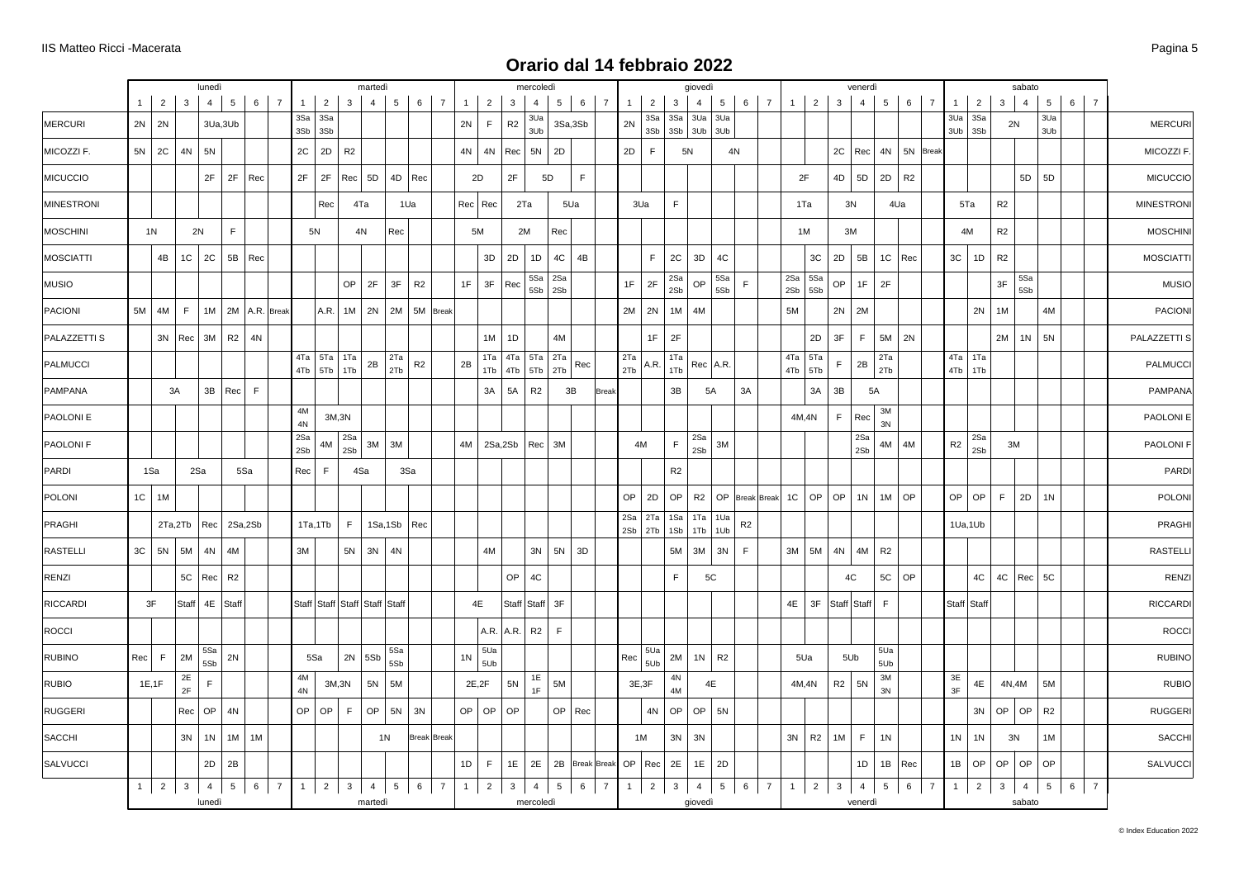|                   |          |                 |                     | lunedì                   |                  |             |                |                     |                |                                     | martedì        |                      |                |                |                |                |                                          | mercoledi                    |            |                 |                |                |                  |                    | giovedì        |                |                    |              |                |              | venerdì                   |                     |                |                |                |                    |                | sabato                   |                 |                |                |                   |
|-------------------|----------|-----------------|---------------------|--------------------------|------------------|-------------|----------------|---------------------|----------------|-------------------------------------|----------------|----------------------|----------------|----------------|----------------|----------------|------------------------------------------|------------------------------|------------|-----------------|----------------|----------------|------------------|--------------------|----------------|----------------|--------------------|--------------|----------------|--------------|---------------------------|---------------------|----------------|----------------|----------------|--------------------|----------------|--------------------------|-----------------|----------------|----------------|-------------------|
|                   | $1 \mid$ | 2               | 3                   | $\overline{4}$           | 5                | 6           | $\overline{7}$ | 1                   | $\overline{2}$ | 3                                   | $\overline{4}$ | 5 <sub>1</sub>       | $6 \mid 7$     |                | $\mathbf{1}$   | $\overline{2}$ | 3                                        | $\overline{4}$               |            | $5 \mid 6$      | $\overline{7}$ | $\overline{1}$ | 2                | $\mathbf{3}$       | $\overline{4}$ | $5^{\circ}$    | $6 \mid 7$         | $\mathbf{1}$ | $\overline{2}$ | $\mathbf{3}$ | $\overline{4}$            | 5 <sup>5</sup>      | $6 \mid 7$     |                | $\mathbf{1}$   | 2                  | 3              | $\overline{4}$           | $5\overline{)}$ | $6-1$          | $\overline{7}$ |                   |
| MERCURI           |          | $2N$ 2N         |                     |                          | 3Ua,3Ub          |             |                | 3Sa<br>3Sb          | 3Sa<br>3Sb     |                                     |                |                      |                |                | 2N             | F              | R2                                       | 3Ua<br>3Ub                   |            | 3Sa,3Sb         |                | 2N             | 3Sa<br>3Sb       | 3Sa<br>$3Sb$ $3Ub$ | 3Ua            | 3Ua<br>3Ub     |                    |              |                |              |                           |                     |                |                | 3Ua            | 3Sa<br>$3Ub$ $3Sb$ |                | 2N                       | 3Ua<br>3Ub      |                |                | <b>MERCURI</b>    |
| MICOZZI F.        |          | $5N$   2C       | 4N                  | 5N                       |                  |             |                | 2C                  | 2D             | R <sub>2</sub>                      |                |                      |                |                | 4N             | 4N             | Rec                                      | 5N                           | 2D         |                 |                | 2D             | F                | 5N                 |                | 4N             |                    |              |                | 2C Rec       |                           | 4N                  | 5N Break       |                |                |                    |                |                          |                 |                |                | MICOZZI F         |
| <b>MICUCCIO</b>   |          |                 |                     | 2F                       | 2F               | Rec         |                | 2F                  | 2F             | Rec                                 | 5D             |                      | 4D Rec         |                | 2D             |                | 2F                                       |                              | 5D         | F.              |                |                |                  |                    |                |                |                    | 2F           |                | 4D           | 5D                        | 2D                  | R <sub>2</sub> |                |                |                    |                | 5D                       | 5D              |                |                | <b>MICUCCIO</b>   |
| <b>MINESTRONI</b> |          |                 |                     |                          |                  |             |                |                     | Rec            |                                     | 4Ta            | 1Ua                  |                |                | Rec   Rec      |                |                                          | 2Ta                          |            | 5Ua             |                |                | 3Ua              | $\mathsf F$        |                |                |                    |              | 1Ta            | 3N           |                           | 4Ua                 |                |                |                | 5Ta                | R <sub>2</sub> |                          |                 |                |                | <b>MINESTRONI</b> |
| MOSCHINI          |          | 1 <sup>N</sup>  |                     | 2N                       | F.               |             |                |                     | 5N             |                                     | 4N             | Rec                  |                |                | 5M             |                |                                          | 2M                           | Rec        |                 |                |                |                  |                    |                |                |                    |              | 1M             | 3M           |                           |                     |                |                |                | 4M                 | R2             |                          |                 |                |                | <b>MOSCHINI</b>   |
| <b>MOSCIATTI</b>  |          | 4B              | 1C                  | 2C                       |                  | $5B$ Rec    |                |                     |                |                                     |                |                      |                |                |                | 3D             | 2D                                       | 1D                           | 4C         | 4B              |                |                | $\mathsf F$      | 2C                 | 3D             | 4C             |                    |              | 3C             | 2D           | 5B                        | $1C$ Rec            |                |                | $3\mathrm{C}$  | 1D                 | R2             |                          |                 |                |                | <b>MOSCIATTI</b>  |
| MUSIO             |          |                 |                     |                          |                  |             |                |                     |                | OP                                  | 2F             | 3F                   | R <sub>2</sub> |                | 1F             | 3F             | Rec                                      | 5Sa<br>5Sb                   | 2Sa<br>2Sb |                 |                | 1F             | 2F               | 2Sa<br>2Sb         | OP             | 5Sa<br>5Sb     | F.                 | 2Sa<br>2Sb   | 5Sa<br>5Sb     | OP           | 1F                        | 2F                  |                |                |                |                    | 3F             | 5Sa<br>5Sb               |                 |                |                | <b>MUSIO</b>      |
| PACIONI           |          | $5M$ 4M         | F                   |                          | 1M 2M A.R. Break |             |                |                     | A.R.           | 1M                                  |                | 2N   2M   5M   Break |                |                |                |                |                                          |                              |            |                 |                |                | $2M$ 2N          | 1M                 | 4M             |                |                    | 5M           |                | 2N           | 2M                        |                     |                |                |                | 2N                 | $1M$           |                          | 4M              |                |                | <b>PACIONI</b>    |
| PALAZZETTI S      |          |                 | $3N$ Rec $3M$       |                          | R2               | 4N          |                |                     |                |                                     |                |                      |                |                |                | 1M             | 1D                                       |                              | 4M         |                 |                |                | 1F               | 2F                 |                |                |                    |              | 2D             | 3F           | F.                        | 5M                  | 2N             |                |                |                    | 2M             | 1 <sub>N</sub>           | 5N              |                |                | PALAZZETTI S      |
| PALMUCCI          |          |                 |                     |                          |                  |             |                |                     | 4Tb 5Tb        | $4Ta$ 5Ta 1Ta<br>1Tb                | 2B             | 2Ta<br>2Tb           | R <sub>2</sub> |                | 2B             |                | 1Ta   4Ta   5Ta   2Ta<br>1Tb   4Tb   5Tb |                              | 2Tb        | Rec             |                | 2Ta<br>2Tb     | A.R.             | 1Ta<br>1Tb         | Rec   A.R.     |                |                    | 4Ta<br>4Tb   | 5Ta<br>5Tb     | F.           | 2B                        | 2Ta<br>2Tb          |                |                | 4Tb            | $4Ta$ 1Ta<br>1Tb   |                |                          |                 |                |                | <b>PALMUCCI</b>   |
| PAMPANA           |          |                 | 3A                  |                          | $3B$ Rec         | $\mathsf F$ |                |                     |                |                                     |                |                      |                |                |                | 3A             | 5A                                       | R <sub>2</sub>               |            | 3B              | <b>Break</b>   |                |                  | 3B                 | 5A             |                | 3A                 |              | 3A             | 3B           | 5A                        |                     |                |                |                |                    |                |                          |                 |                |                | <b>PAMPANA</b>    |
| PAOLONI E         |          |                 |                     |                          |                  |             |                | $4\mathsf{M}$<br>4N |                | 3M,3N                               |                |                      |                |                |                |                |                                          |                              |            |                 |                |                |                  |                    |                |                |                    |              | 4M,4N          | F.           | Rec                       | 3M<br>3N            |                |                |                |                    |                |                          |                 |                |                | PAOLONI E         |
| PAOLONI F         |          |                 |                     |                          |                  |             |                | 2Sa<br>2Sb          | 4M             | 2Sa<br>2Sb                          | 3M             | 3M                   |                |                | 4M             |                | 2Sa,2Sb                                  | Rec                          | 3M         |                 |                |                | 4M               | $\mathsf F$        | 2Sa<br>2Sb     | 3M             |                    |              |                |              | 2Sa<br>2Sb                | 4M                  | 4M             |                | $\mathsf{R}2$  | 2Sa<br>2Sb         |                | 3M                       |                 |                |                | PAOLONI F         |
| PARDI             |          | 1Sa             |                     | 2Sa                      |                  | 5Sa         |                | Rec                 | F              |                                     | 4Sa            | 3Sa                  |                |                |                |                |                                          |                              |            |                 |                |                |                  | R <sub>2</sub>     |                |                |                    |              |                |              |                           |                     |                |                |                |                    |                |                          |                 |                |                | PARDI             |
| POLONI            |          | $1C$   1M       |                     |                          |                  |             |                |                     |                |                                     |                |                      |                |                |                |                |                                          |                              |            |                 |                | OP             | 2D               | OP                 | R2             | OP             | <b>Break</b> Break | 1C           | OP             | OP           | 1N                        | 1M                  | OP             |                | <b>OP</b>      | OP                 | F              | 2D                       | 1 <sup>N</sup>  |                |                | POLONI            |
| PRAGHI            |          |                 | 2Ta,2Tb             |                          | Rec 2Sa,2Sb      |             |                |                     | 1Ta,1Tb        | F.                                  |                | 1Sa,1Sb Rec          |                |                |                |                |                                          |                              |            |                 |                | 2Sa<br>2Sb     | $2Ta$ 1Sa<br>2Tb | 1Sb                | 1Ta<br>1Tb     | 1Ua<br>1Ub     | R <sub>2</sub>     |              |                |              |                           |                     |                |                |                | 1Ua,1Ub            |                |                          |                 |                |                | PRAGHI            |
| <b>RASTELLI</b>   |          | $3C$ 5N         | 5M                  | 4N                       | 4M               |             |                | 3M                  |                | 5N                                  | 3N             | 4N                   |                |                |                | 4M             |                                          | 3N                           | 5N         | 3D              |                |                |                  | 5M                 | 3M             | 3N             | F.                 | 3M           | 5M             | 4N           | 4M                        | R <sub>2</sub>      |                |                |                |                    |                |                          |                 |                |                | <b>RASTELLI</b>   |
| RENZI             |          |                 | 5C                  | Rec                      | R <sub>2</sub>   |             |                |                     |                |                                     |                |                      |                |                |                |                | OP                                       | 4C                           |            |                 |                |                |                  | F.                 | 5C             |                |                    |              |                | 4C           |                           | 5C                  | OP             |                |                | 4C                 | 4C             | Rec                      | 5C              |                |                | <b>RENZI</b>      |
| RICCARDI          |          | 3F              | Staff               |                          | 4E Staff         |             |                |                     |                | Staff Staff   Staff   Staff   Staff |                |                      |                |                | 4E             |                | Staff                                    | Staff                        | 3F         |                 |                |                |                  |                    |                |                |                    | 4E           | 3F             | Staff Staff  |                           | F                   |                |                |                | Staff Staff        |                |                          |                 |                |                | <b>RICCARDI</b>   |
| ROCCI             |          |                 |                     |                          |                  |             |                |                     |                |                                     |                |                      |                |                |                | A.R. A.R.      |                                          | R2                           | F          |                 |                |                |                  |                    |                |                |                    |              |                |              |                           |                     |                |                |                |                    |                |                          |                 |                |                | <b>ROCCI</b>      |
| <b>RUBINO</b>     | Rec      | F               | 2M                  | 5Sa<br>5Sb               | 2N               |             |                |                     | 5Sa            | 2N                                  | 5Sb            | 5Sa<br>5Sb           |                |                | 1 <sub>N</sub> | 5Ua<br>5Ub     |                                          |                              |            |                 |                | Rec            | 5Ua<br>5Ub       | 2M                 | 1 <sub>N</sub> | R <sub>2</sub> |                    |              | 5Ua            | 5Ub          |                           | 5Ua<br>5Ub          |                |                |                |                    |                |                          |                 |                |                | <b>RUBINO</b>     |
| <b>RUBIO</b>      |          | 1E, 1F          | $2\mathsf{E}$<br>2F | F                        |                  |             |                | 4M<br>4N            |                | 3M,3N                               | 5N             | 5M                   |                |                | 2E,2F          |                | 5N                                       | 1E<br>1F                     | 5M         |                 |                |                | 3E, 3F           | 4N<br>4M           | 4E             |                |                    |              | 4M,4N          | R2           | 5N                        | $3\mathsf{M}$<br>3N |                |                | 3E<br>3F       | 4E                 |                | 4N,4M                    | 5M              |                |                | <b>RUBIO</b>      |
| RUGGERI           |          |                 | Rec                 | OP                       | 4N               |             |                | OP                  | OP             | F                                   | OP             | 5N 3N                |                |                | $OP$ OP        |                | OP                                       |                              |            | OP   Rec        |                |                | $4N$             | OP                 | OP             | 5N             |                    |              |                |              |                           |                     |                |                |                | 3N                 | OP             | OP                       | R2              |                |                | <b>RUGGERI</b>    |
| SACCHI            |          |                 | 3N                  | 1 <sup>N</sup>           | 1M               | 1M          |                |                     |                |                                     |                | 1N                   | Break Break    |                |                |                |                                          |                              |            |                 |                |                | 1M               | 3N                 | 3N             |                |                    | 3N           | R2             | 1M           | F.                        | 1 <sub>N</sub>      |                |                | 1 <sub>N</sub> | 1 <sup>N</sup>     |                | 3N                       | 1M              |                |                | SACCHI            |
| SALVUCCI          |          |                 |                     | 2D                       | 2B               |             |                |                     |                |                                     |                |                      |                |                | 1D             | F              | 1E                                       | 2E                           |            | 2B Break Break  |                |                | OP   Rec         | 2E                 | 1E             | 2D             |                    |              |                |              | 1D                        | $1B$ Rec            |                |                | 1B             | OP                 | OP             | OP                       | OP              |                |                | SALVUCCI          |
|                   |          | $1 \mid 2 \mid$ | $\mathbf{3}$        | $\overline{4}$<br>lunedì | 5 <sub>1</sub>   | 6           | 7              | 1                   | $2 \mid$       | $\overline{\mathbf{3}}$             | 4<br>martedì   | 5 <sub>5</sub>       | $6 \mid$       | $\overline{7}$ | 1              | 2              |                                          | $3 \mid 4 \mid$<br>mercoledì |            | $5 \mid 6 \mid$ | $\overline{7}$ | 1              | $2^{\circ}$      | 3 <sup>1</sup>     | 4<br>giovedì   |                | $5 \mid 6 \mid 7$  | 1            |                | $2 \mid 3$   | $\overline{4}$<br>venerdì | $5\overline{)}$     | $6-1$          | $\overline{7}$ | $1 \mid$       | $2 \mid$           | 3 <sup>1</sup> | $\overline{4}$<br>sabato | 5 <sub>5</sub>  | 6 <sup>1</sup> | $\overline{7}$ |                   |